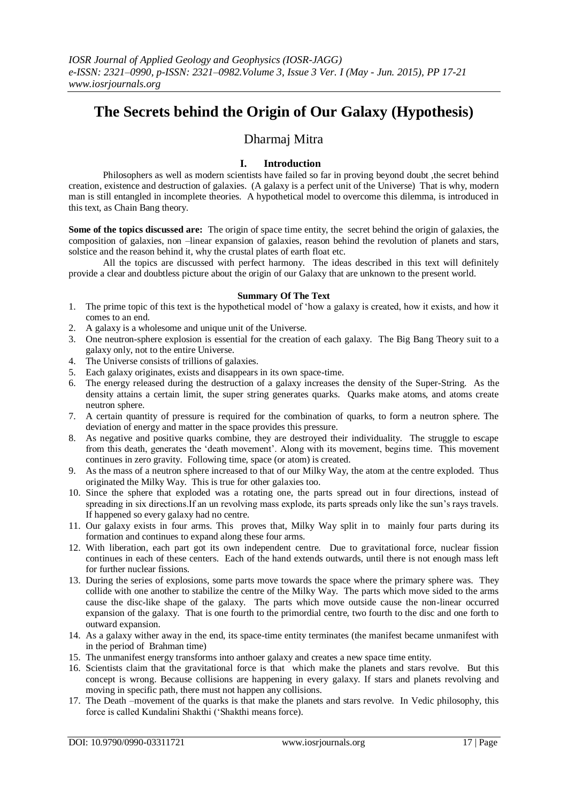# **The Secrets behind the Origin of Our Galaxy (Hypothesis)**

# Dharmaj Mitra

## **I. Introduction**

Philosophers as well as modern scientists have failed so far in proving beyond doubt, the secret behind creation, existence and destruction of galaxies. (A galaxy is a perfect unit of the Universe) That is why, modern man is still entangled in incomplete theories. A hypothetical model to overcome this dilemma, is introduced in this text, as Chain Bang theory.

**Some of the topics discussed are:** The origin of space time entity, the secret behind the origin of galaxies, the composition of galaxies, non –linear expansion of galaxies, reason behind the revolution of planets and stars, solstice and the reason behind it, why the crustal plates of earth float etc.

All the topics are discussed with perfect harmony. The ideas described in this text will definitely provide a clear and doubtless picture about the origin of our Galaxy that are unknown to the present world.

#### **Summary Of The Text**

- 1. The prime topic of this text is the hypothetical model of 'how a galaxy is created, how it exists, and how it comes to an end.
- 2. A galaxy is a wholesome and unique unit of the Universe.
- 3. One neutron-sphere explosion is essential for the creation of each galaxy. The Big Bang Theory suit to a galaxy only, not to the entire Universe.
- 4. The Universe consists of trillions of galaxies.
- 5. Each galaxy originates, exists and disappears in its own space-time.
- 6. The energy released during the destruction of a galaxy increases the density of the Super-String. As the density attains a certain limit, the super string generates quarks. Quarks make atoms, and atoms create neutron sphere.
- 7. A certain quantity of pressure is required for the combination of quarks, to form a neutron sphere. The deviation of energy and matter in the space provides this pressure.
- 8. As negative and positive quarks combine, they are destroyed their individuality. The struggle to escape from this death, generates the 'death movement'. Along with its movement, begins time. This movement continues in zero gravity. Following time, space (or atom) is created.
- 9. As the mass of a neutron sphere increased to that of our Milky Way, the atom at the centre exploded. Thus originated the Milky Way. This is true for other galaxies too.
- 10. Since the sphere that exploded was a rotating one, the parts spread out in four directions, instead of spreading in six directions.If an un revolving mass explode, its parts spreads only like the sun's rays travels. If happened so every galaxy had no centre.
- 11. Our galaxy exists in four arms. This proves that, Milky Way split in to mainly four parts during its formation and continues to expand along these four arms.
- 12. With liberation, each part got its own independent centre. Due to gravitational force, nuclear fission continues in each of these centers. Each of the hand extends outwards, until there is not enough mass left for further nuclear fissions.
- 13. During the series of explosions, some parts move towards the space where the primary sphere was. They collide with one another to stabilize the centre of the Milky Way. The parts which move sided to the arms cause the disc-like shape of the galaxy. The parts which move outside cause the non-linear occurred expansion of the galaxy. That is one fourth to the primordial centre, two fourth to the disc and one forth to outward expansion.
- 14. As a galaxy wither away in the end, its space-time entity terminates (the manifest became unmanifest with in the period of Brahman time)
- 15. The unmanifest energy transforms into anthoer galaxy and creates a new space time entity.
- 16. Scientists claim that the gravitational force is that which make the planets and stars revolve. But this concept is wrong. Because collisions are happening in every galaxy. If stars and planets revolving and moving in specific path, there must not happen any collisions.
- 17. The Death –movement of the quarks is that make the planets and stars revolve. In Vedic philosophy, this force is called Kundalini Shakthi ('Shakthi means force).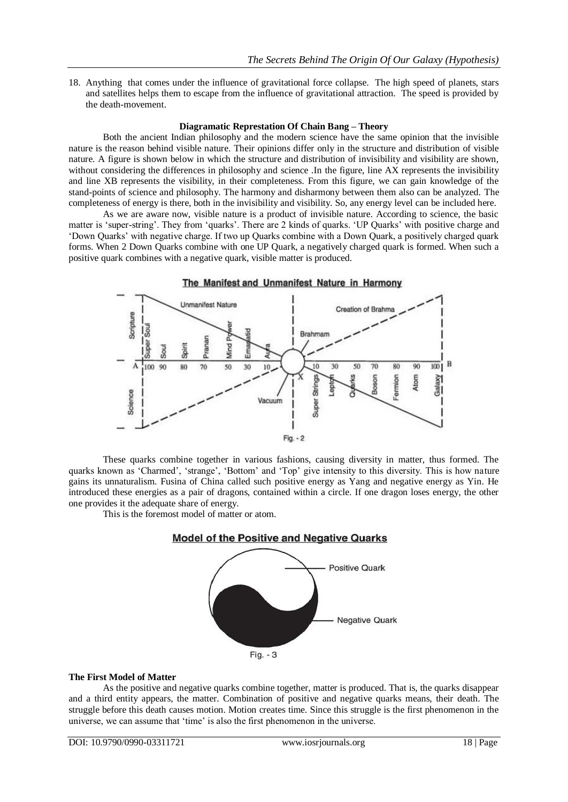18. Anything that comes under the influence of gravitational force collapse. The high speed of planets, stars and satellites helps them to escape from the influence of gravitational attraction. The speed is provided by the death-movement.

## **Diagramatic Represtation Of Chain Bang – Theory**

Both the ancient Indian philosophy and the modern science have the same opinion that the invisible nature is the reason behind visible nature. Their opinions differ only in the structure and distribution of visible nature. A figure is shown below in which the structure and distribution of invisibility and visibility are shown, without considering the differences in philosophy and science. In the figure, line AX represents the invisibility and line XB represents the visibility, in their completeness. From this figure, we can gain knowledge of the stand-points of science and philosophy. The harmony and disharmony between them also can be analyzed. The completeness of energy is there, both in the invisibility and visibility. So, any energy level can be included here.

As we are aware now, visible nature is a product of invisible nature. According to science, the basic matter is 'super-string'. They from 'quarks'. There are 2 kinds of quarks. 'UP Quarks' with positive charge and 'Down Quarks' with negative charge. If two up Quarks combine with a Down Quark, a positively charged quark forms. When 2 Down Quarks combine with one UP Quark, a negatively charged quark is formed. When such a positive quark combines with a negative quark, visible matter is produced.



These quarks combine together in various fashions, causing diversity in matter, thus formed. The quarks known as 'Charmed', 'strange', 'Bottom' and 'Top' give intensity to this diversity. This is how nature gains its unnaturalism. Fusina of China called such positive energy as Yang and negative energy as Yin. He introduced these energies as a pair of dragons, contained within a circle. If one dragon loses energy, the other one provides it the adequate share of energy.

This is the foremost model of matter or atom.



**The First Model of Matter** As the positive and negative quarks combine together, matter is produced. That is, the quarks disappear and a third entity appears, the matter. Combination of positive and negative quarks means, their death. The struggle before this death causes motion. Motion creates time. Since this struggle is the first phenomenon in the universe, we can assume that 'time' is also the first phenomenon in the universe.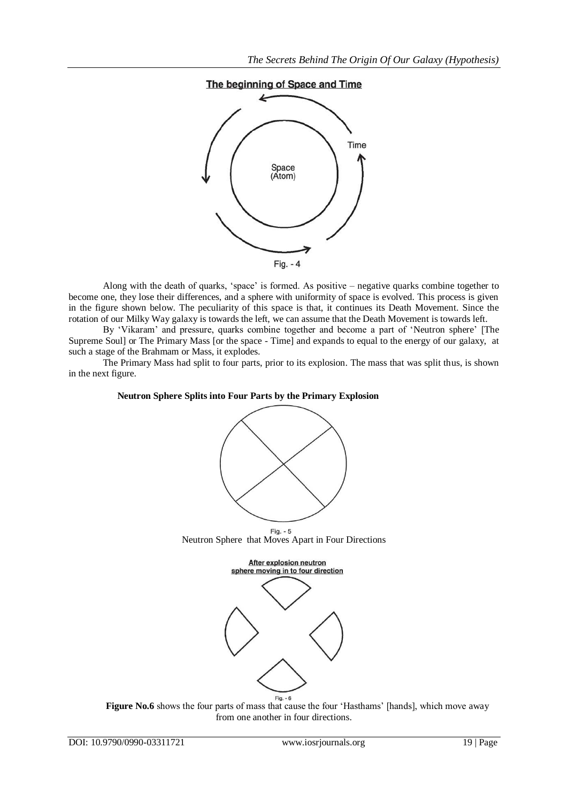# The beginning of Space and Time



Along with the death of quarks, 'space' is formed. As positive – negative quarks combine together to become one, they lose their differences, and a sphere with uniformity of space is evolved. This process is given in the figure shown below. The peculiarity of this space is that, it continues its Death Movement. Since the rotation of our Milky Way galaxy is towards the left, we can assume that the Death Movement is towards left.

By 'Vikaram' and pressure, quarks combine together and become a part of 'Neutron sphere' [The Supreme Soul] or The Primary Mass [or the space - Time] and expands to equal to the energy of our galaxy, at such a stage of the Brahmam or Mass, it explodes.

The Primary Mass had split to four parts, prior to its explosion. The mass that was split thus, is shown in the next figure.

#### **Neutron Sphere Splits into Four Parts by the Primary Explosion**



Figure No.6 shows the four parts of mass that cause the four 'Hasthams' [hands], which move away from one another in four directions.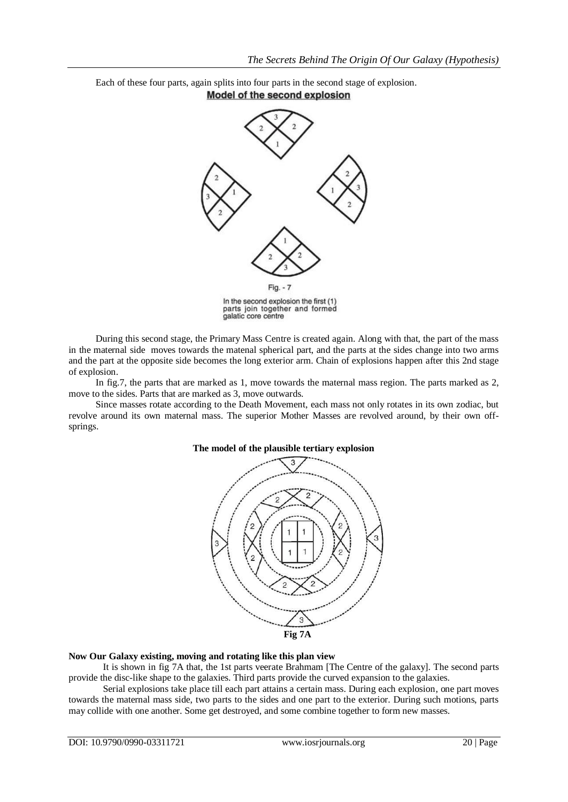Each of these four parts, again splits into four parts in the second stage of explosion. Model of the second explosion



During this second stage, the Primary Mass Centre is created again. Along with that, the part of the mass in the maternal side moves towards the matenal spherical part, and the parts at the sides change into two arms and the part at the opposite side becomes the long exterior arm. Chain of explosions happen after this 2nd stage of explosion.

In fig.7, the parts that are marked as 1, move towards the maternal mass region. The parts marked as 2, move to the sides. Parts that are marked as 3, move outwards.

Since masses rotate according to the Death Movement, each mass not only rotates in its own zodiac, but revolve around its own maternal mass. The superior Mother Masses are revolved around, by their own offsprings.



#### **The model of the plausible tertiary explosion**

#### **Now Our Galaxy existing, moving and rotating like this plan view**

It is shown in fig 7A that, the 1st parts veerate Brahmam [The Centre of the galaxy]. The second parts provide the disc-like shape to the galaxies. Third parts provide the curved expansion to the galaxies.

Serial explosions take place till each part attains a certain mass. During each explosion, one part moves towards the maternal mass side, two parts to the sides and one part to the exterior. During such motions, parts may collide with one another. Some get destroyed, and some combine together to form new masses.